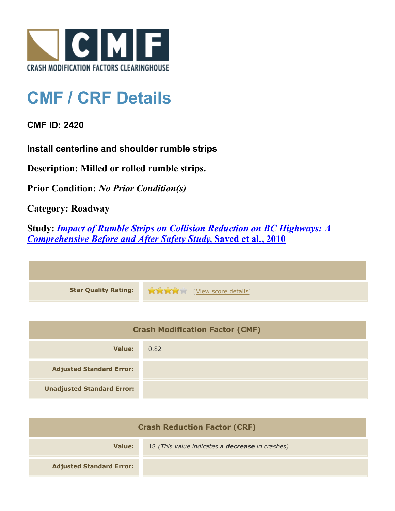

## **CMF / CRF Details**

**CMF ID: 2420**

**Install centerline and shoulder rumble strips**

**Description: Milled or rolled rumble strips.**

**Prior Condition:** *No Prior Condition(s)*

**Category: Roadway**

**Study:** *[Impact of Rumble Strips on Collision Reduction on BC Highways: A](http://www.cmfclearinghouse.org/study_detail.cfm?stid=152) [Comprehensive Before and After Safety Study](http://www.cmfclearinghouse.org/study_detail.cfm?stid=152)***[, Sayed et al., 2010](http://www.cmfclearinghouse.org/study_detail.cfm?stid=152)**

| <b>Star Quality Rating:</b> | <b>THE EXAMPLE EXAMPLE IN THE EXAMPLE SCOTE details</b> |
|-----------------------------|---------------------------------------------------------|

| <b>Crash Modification Factor (CMF)</b> |      |
|----------------------------------------|------|
| Value:                                 | 0.82 |
| <b>Adjusted Standard Error:</b>        |      |
| <b>Unadjusted Standard Error:</b>      |      |

| <b>Crash Reduction Factor (CRF)</b> |                                                        |
|-------------------------------------|--------------------------------------------------------|
| Value:                              | 18 (This value indicates a <b>decrease</b> in crashes) |
| <b>Adjusted Standard Error:</b>     |                                                        |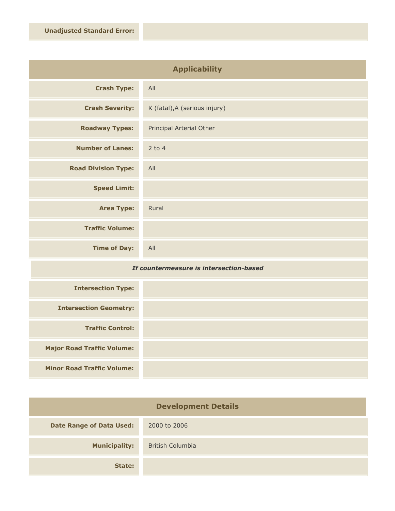| <b>Applicability</b>       |                               |
|----------------------------|-------------------------------|
| <b>Crash Type:</b>         | All                           |
| <b>Crash Severity:</b>     | K (fatal), A (serious injury) |
| <b>Roadway Types:</b>      | Principal Arterial Other      |
| <b>Number of Lanes:</b>    | $2$ to $4$                    |
| <b>Road Division Type:</b> | All                           |
| <b>Speed Limit:</b>        |                               |
| <b>Area Type:</b>          | Rural                         |
| <b>Traffic Volume:</b>     |                               |
| <b>Time of Day:</b>        | All                           |

## *If countermeasure is intersection-based*

| <b>Intersection Type:</b>         |  |
|-----------------------------------|--|
| <b>Intersection Geometry:</b>     |  |
| <b>Traffic Control:</b>           |  |
| <b>Major Road Traffic Volume:</b> |  |
| <b>Minor Road Traffic Volume:</b> |  |

| <b>Development Details</b>      |                         |
|---------------------------------|-------------------------|
| <b>Date Range of Data Used:</b> | 2000 to 2006            |
| <b>Municipality:</b>            | <b>British Columbia</b> |
| State:                          |                         |